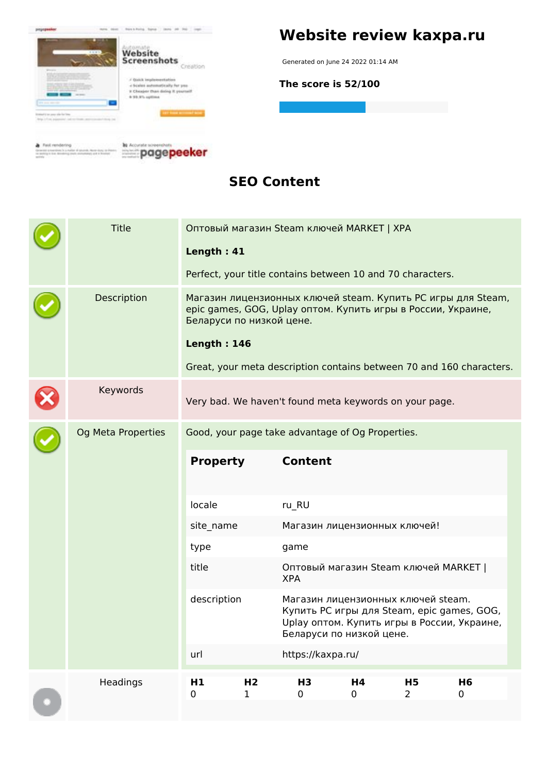

## **Website review kaxpa.ru**

Generated on June 24 2022 01:14 AM

**The score is 52/100**

**SEO Content**

|  | <b>Title</b>              | Length: 41                                                                                                                                               |                               | Оптовый магазин Steam ключей MARKET   XPA                            |                              |                             |                                                                                           |  |
|--|---------------------------|----------------------------------------------------------------------------------------------------------------------------------------------------------|-------------------------------|----------------------------------------------------------------------|------------------------------|-----------------------------|-------------------------------------------------------------------------------------------|--|
|  |                           |                                                                                                                                                          |                               | Perfect, your title contains between 10 and 70 characters.           |                              |                             |                                                                                           |  |
|  | Description               | Магазин лицензионных ключей steam. Купить РС игры для Steam,<br>epic games, GOG, Uplay оптом. Купить игры в России, Украине,<br>Беларуси по низкой цене. |                               |                                                                      |                              |                             |                                                                                           |  |
|  |                           | <b>Length: 146</b>                                                                                                                                       |                               |                                                                      |                              |                             |                                                                                           |  |
|  |                           |                                                                                                                                                          |                               | Great, your meta description contains between 70 and 160 characters. |                              |                             |                                                                                           |  |
|  | Keywords                  |                                                                                                                                                          |                               | Very bad. We haven't found meta keywords on your page.               |                              |                             |                                                                                           |  |
|  | <b>Og Meta Properties</b> |                                                                                                                                                          |                               | Good, your page take advantage of Og Properties.                     |                              |                             |                                                                                           |  |
|  |                           | <b>Property</b>                                                                                                                                          |                               | <b>Content</b>                                                       |                              |                             |                                                                                           |  |
|  |                           | locale                                                                                                                                                   |                               | ru_RU                                                                |                              |                             |                                                                                           |  |
|  |                           | site_name                                                                                                                                                |                               |                                                                      | Магазин лицензионных ключей! |                             |                                                                                           |  |
|  |                           | type                                                                                                                                                     |                               | game                                                                 |                              |                             |                                                                                           |  |
|  |                           | title                                                                                                                                                    |                               | Оптовый магазин Steam ключей MARKET  <br><b>XPA</b>                  |                              |                             |                                                                                           |  |
|  |                           | description                                                                                                                                              |                               | Магазин лицензионных ключей steam.<br>Беларуси по низкой цене.       |                              |                             | Купить РС игры для Steam, epic games, GOG,<br>Uplay оптом. Купить игры в России, Украине, |  |
|  |                           | url                                                                                                                                                      |                               | https://kaxpa.ru/                                                    |                              |                             |                                                                                           |  |
|  | Headings                  | H <sub>1</sub><br>0                                                                                                                                      | H <sub>2</sub><br>$\mathbf 1$ | H <sub>3</sub><br>0                                                  | H4<br>0                      | <b>H5</b><br>$\overline{2}$ | H <sub>6</sub><br>0                                                                       |  |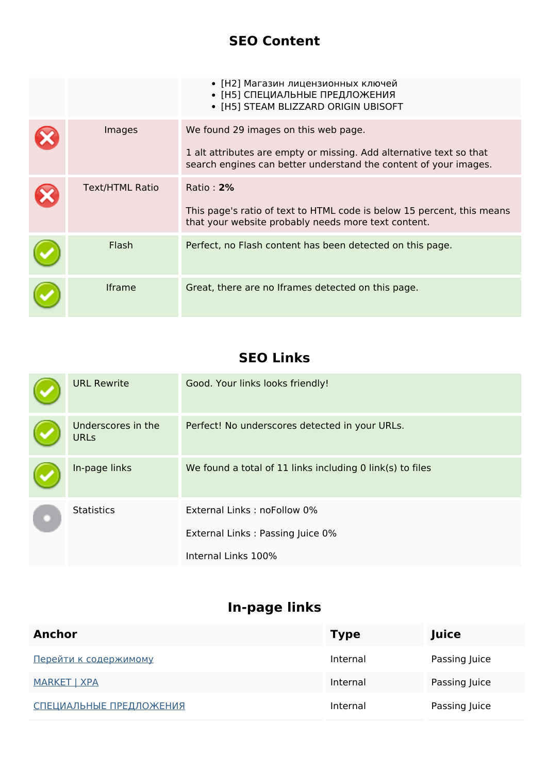#### **SEO Content**

|                        | • [Н2] Магазин лицензионных ключей<br>• [Н5] СПЕЦИАЛЬНЫЕ ПРЕДЛОЖЕНИЯ<br>• [H5] STEAM BLIZZARD ORIGIN UBISOFT                                                                    |
|------------------------|---------------------------------------------------------------------------------------------------------------------------------------------------------------------------------|
| Images                 | We found 29 images on this web page.<br>1 alt attributes are empty or missing. Add alternative text so that<br>search engines can better understand the content of your images. |
| <b>Text/HTML Ratio</b> | Ratio: 2%<br>This page's ratio of text to HTML code is below 15 percent, this means<br>that your website probably needs more text content.                                      |
| Flash                  | Perfect, no Flash content has been detected on this page.                                                                                                                       |
| <b>Iframe</b>          | Great, there are no Iframes detected on this page.                                                                                                                              |

### **SEO Links**

|  | <b>URL Rewrite</b>                | Good. Your links looks friendly!                          |
|--|-----------------------------------|-----------------------------------------------------------|
|  | Underscores in the<br><b>URLs</b> | Perfect! No underscores detected in your URLs.            |
|  | In-page links                     | We found a total of 11 links including 0 link(s) to files |
|  | <b>Statistics</b>                 | External Links: noFollow 0%                               |
|  |                                   | External Links: Passing Juice 0%                          |
|  |                                   | Internal Links 100%                                       |

### **In-page links**

| Anchor                       | <b>Type</b> | Juice         |
|------------------------------|-------------|---------------|
| <u>Перейти к содержимому</u> | Internal    | Passing Juice |
| <b>MARKET   XPA</b>          | Internal    | Passing Juice |
| СПЕЦИАЛЬНЫЕ ПРЕДЛОЖЕНИЯ      | Internal    | Passing Juice |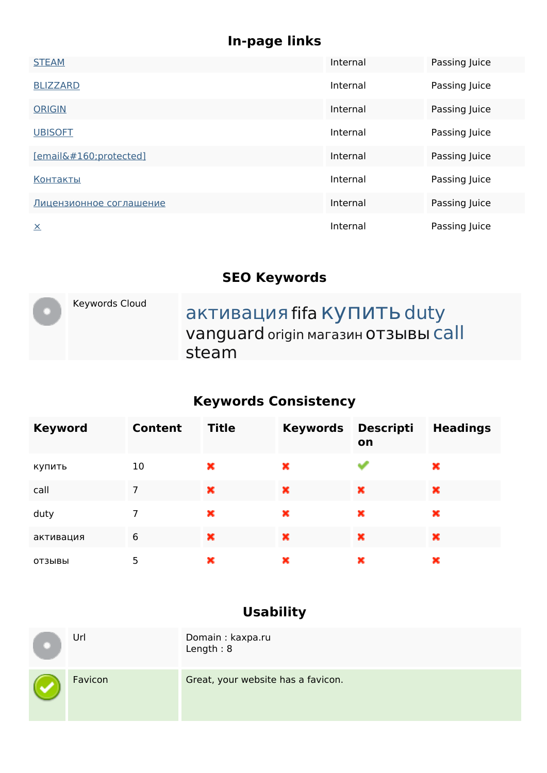## **In-page links**

| <b>STEAM</b>            | Internal | Passing Juice |
|-------------------------|----------|---------------|
| <b>BLIZZARD</b>         | Internal | Passing Juice |
| <b>ORIGIN</b>           | Internal | Passing Juice |
| <b>UBISOFT</b>          | Internal | Passing Juice |
| [email protected]       | Internal | Passing Juice |
| <u>Контакты</u>         | Internal | Passing Juice |
| Лицензионное соглашение | Internal | Passing Juice |
| $\times$                | Internal | Passing Juice |

#### **SEO Keywords**

| Keywords Cloud | активация fifa КУПИТЬ duty<br>Vanguard origin магазин ОТЗЫВЫ Call<br>steam |
|----------------|----------------------------------------------------------------------------|
|                |                                                                            |

# **Keywords Consistency**

| <b>Keyword</b> | <b>Content</b> | <b>Title</b> | <b>Keywords</b> | <b>Descripti</b><br>on | <b>Headings</b> |
|----------------|----------------|--------------|-----------------|------------------------|-----------------|
| купить         | 10             | ×            | ×               |                        | ×               |
| call           | 7              | ×            | ×               | ×                      | ×               |
| duty           | 7              | ×            | ×               | ×                      | ×               |
| активация      | 6              | ×            | ×               | ×                      | ×               |
| ОТЗЫВЫ         | 5              | ×            | ×               | ×                      | ×               |

## **Usability**

| ۰ | Url     | Domain: kaxpa.ru<br>Length: $8$    |
|---|---------|------------------------------------|
|   | Favicon | Great, your website has a favicon. |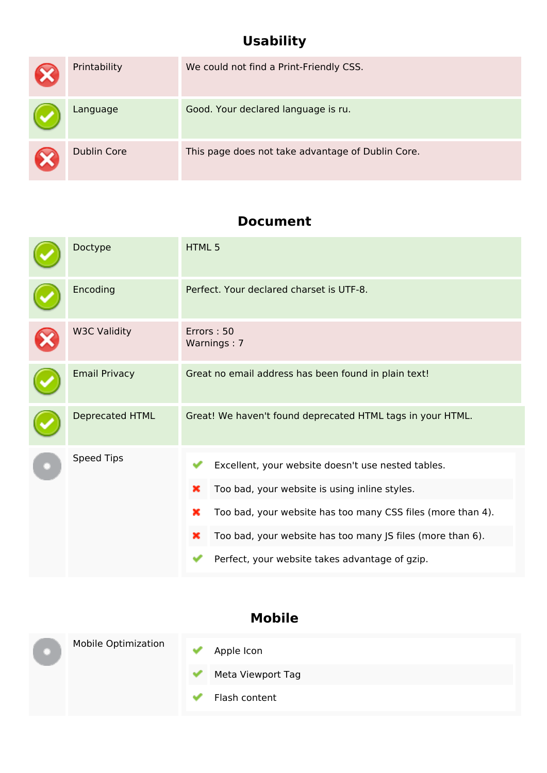## **Usability**

| Printability       | We could not find a Print-Friendly CSS.           |
|--------------------|---------------------------------------------------|
| Language           | Good. Your declared language is ru.               |
| <b>Dublin Core</b> | This page does not take advantage of Dublin Core. |

#### **Document**

| Doctype                | <b>HTML5</b>                                                                                                                                                                                                                                                                                      |  |  |
|------------------------|---------------------------------------------------------------------------------------------------------------------------------------------------------------------------------------------------------------------------------------------------------------------------------------------------|--|--|
| Encoding               | Perfect. Your declared charset is UTF-8.                                                                                                                                                                                                                                                          |  |  |
| <b>W3C Validity</b>    | Errors: 50<br>Warnings: 7                                                                                                                                                                                                                                                                         |  |  |
| <b>Email Privacy</b>   | Great no email address has been found in plain text!                                                                                                                                                                                                                                              |  |  |
| <b>Deprecated HTML</b> | Great! We haven't found deprecated HTML tags in your HTML.                                                                                                                                                                                                                                        |  |  |
| <b>Speed Tips</b>      | Excellent, your website doesn't use nested tables.<br>Too bad, your website is using inline styles.<br>×<br>Too bad, your website has too many CSS files (more than 4).<br>×<br>Too bad, your website has too many JS files (more than 6).<br>×<br>Perfect, your website takes advantage of gzip. |  |  |

#### **Mobile**

| <b>Mobile Optimization</b> | Apple Icon<br>Meta Viewport Tag |
|----------------------------|---------------------------------|
|                            |                                 |
|                            | Flash content                   |